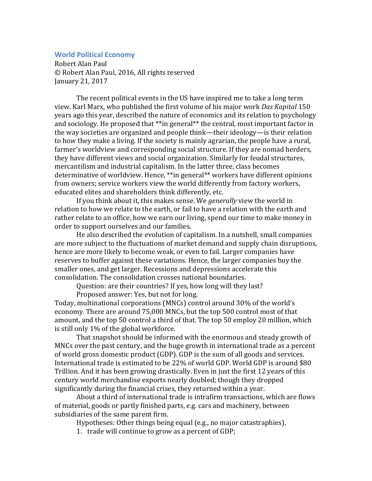## **World Political Economy**

Robert Alan Paul © Robert Alan Paul, 2016, All rights reserved January 21, 2017

The recent political events in the US have inspired me to take a long term view. Karl Marx, who published the first volume of his major work *Das Kapital* 150 years ago this year, described the nature of economics and its relation to psychology and sociology. He proposed that  $**$ in general $**$  the central, most important factor in the way societies are organized and people think—their ideology—is their relation to how they make a living. If the society is mainly agrarian, the people have a rural, farmer's worldview and corresponding social structure. If they are nomad herders, they have different views and social organization. Similarly for feudal structures, mercantilism and industrial capitalism. In the latter three, class becomes determinative of worldview. Hence, \*\*in general\*\* workers have different opinions from owners; service workers view the world differently from factory workers, educated elites and shareholders think differently, etc.

If you think about it, this makes sense. We *generally* view the world in relation to how we relate to the earth, or fail to have a relation with the earth and rather relate to an office, how we earn our living, spend our time to make money in order to support ourselves and our families.

He also described the evolution of capitalism. In a nutshell, small companies are more subject to the fluctuations of market demand and supply chain disruptions, hence are more likely to become weak, or even to fail. Larger companies have reserves to buffer against these variations. Hence, the larger companies buy the smaller ones, and get larger. Recessions and depressions accelerate this consolidation. The consolidation crosses national boundaries.

Question: are their countries? If yes, how long will they last?

Proposed answer: Yes, but not for long.

Today, multinational corporations (MNCs) control around 30% of the world's economy. There are around 75,000 MNCs, but the top 500 control most of that amount, and the top 50 control a third of that. The top 50 employ 20 million, which is still only  $1\%$  of the global workforce.

That snapshot should be informed with the enormous and steady growth of MNCs over the past century, and the huge growth in international trade as a percent of world gross domestic product (GDP). GDP is the sum of all goods and services. International trade is estimated to be 22% of world GDP. World GDP is around \$80 Trillion. And it has been growing drastically. Even in just the first 12 years of this century world merchandise exports nearly doubled; though they dropped significantly during the financial crises, they returned within a year.

About a third of international trade is intrafirm transactions, which are flows of material, goods or partly finished parts, e.g. cars and machinery, between subsidiaries of the same parent firm.

Hypotheses: Other things being equal (e.g., no major catastraphies),

1. trade will continue to grow as a percent of GDP;